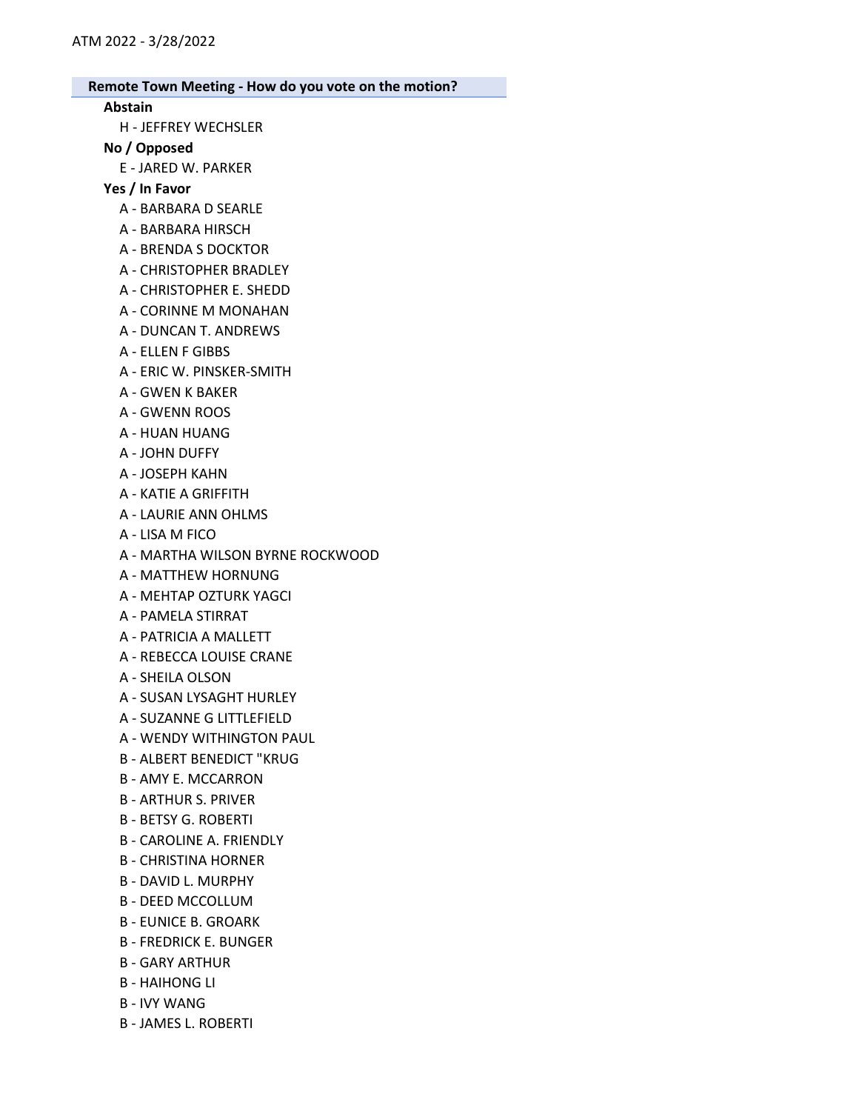### Abstain

H - JEFFREY WECHSLER

### No / Opposed

E - JARED W. PARKER

Yes / In Favor

- A BARBARA D SEARLE
- A BARBARA HIRSCH
- A BRENDA S DOCKTOR
- A CHRISTOPHER BRADLEY
- A CHRISTOPHER E. SHEDD
- A CORINNE M MONAHAN
- A DUNCAN T. ANDREWS
- A ELLEN F GIBBS
- A ERIC W. PINSKER-SMITH
- A GWEN K BAKER
- A GWENN ROOS
- A HUAN HUANG
- A JOHN DUFFY
- A JOSEPH KAHN
- A KATIE A GRIFFITH
- A LAURIE ANN OHLMS
- A LISA M FICO
- A MARTHA WILSON BYRNE ROCKWOOD
- A MATTHEW HORNUNG
- A MEHTAP OZTURK YAGCI
- A PAMELA STIRRAT
- A PATRICIA A MALLETT
- A REBECCA LOUISE CRANE
- A SHEILA OLSON
- A SUSAN LYSAGHT HURLEY
- A SUZANNE G LITTLEFIELD
- A WENDY WITHINGTON PAUL
- B ALBERT BENEDICT "KRUG
- B AMY E. MCCARRON
- B ARTHUR S. PRIVER
- B BETSY G. ROBERTI
- B CAROLINE A. FRIENDLY
- B CHRISTINA HORNER
- B DAVID L. MURPHY
- B DEED MCCOLLUM
- B EUNICE B. GROARK
- B FREDRICK E. BUNGER
- B GARY ARTHUR
- B HAIHONG LI
- B IVY WANG
- B JAMES L. ROBERTI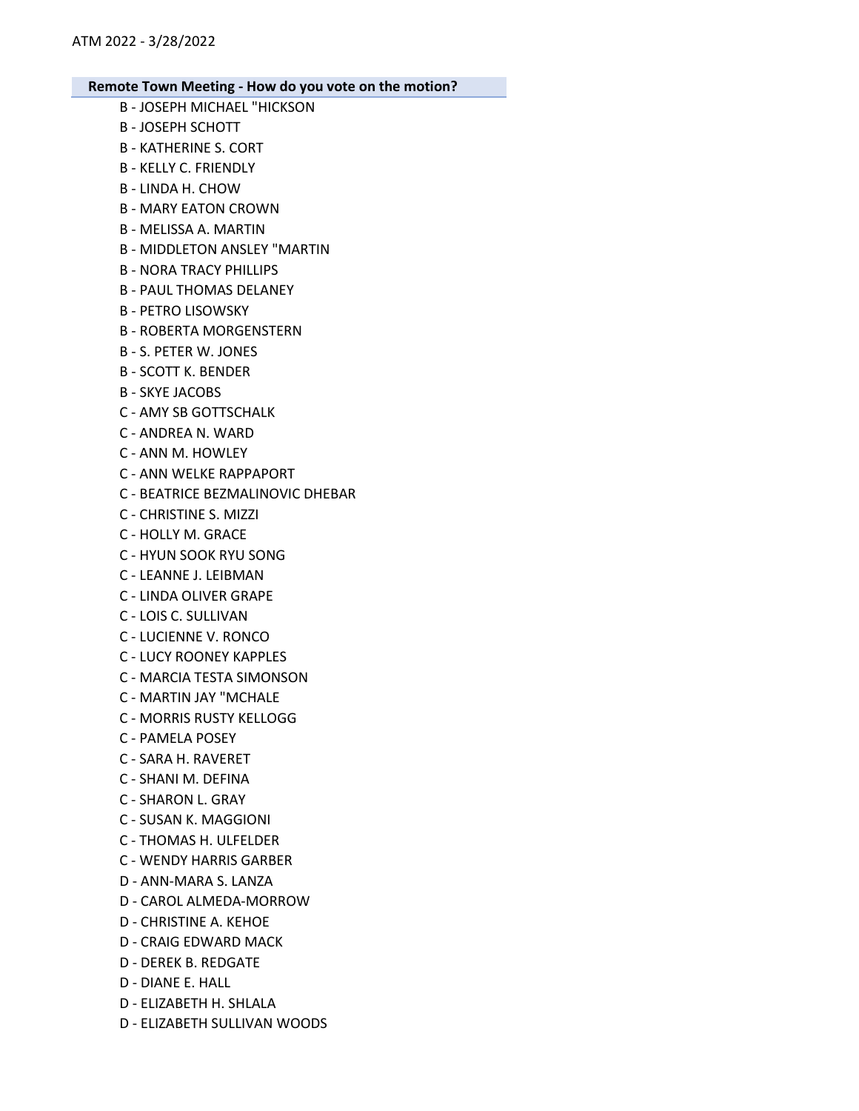- B JOSEPH MICHAEL "HICKSON B - JOSEPH SCHOTT B - KATHERINE S. CORT B - KELLY C. FRIENDLY B - LINDA H. CHOW B - MARY EATON CROWN B - MELISSA A. MARTIN B - MIDDLETON ANSLEY "MARTIN B - NORA TRACY PHILLIPS B - PAUL THOMAS DELANEY B - PETRO LISOWSKY B - ROBERTA MORGENSTERN B - S. PETER W. JONES B - SCOTT K. BENDER B - SKYE JACOBS C - AMY SB GOTTSCHALK C - ANDREA N. WARD C - ANN M. HOWLEY C - ANN WELKE RAPPAPORT C - BEATRICE BEZMALINOVIC DHEBAR C - CHRISTINE S. MIZZI C - HOLLY M. GRACE C - HYUN SOOK RYU SONG C - LEANNE J. LEIBMAN C - LINDA OLIVER GRAPE
	- C LOIS C. SULLIVAN
	- C LUCIENNE V. RONCO
	- C LUCY ROONEY KAPPLES
	- C MARCIA TESTA SIMONSON
	- C MARTIN JAY "MCHALE
	- C MORRIS RUSTY KELLOGG
	- C PAMELA POSEY
	- C SARA H. RAVERET
	- C SHANI M. DEFINA
	- C SHARON L. GRAY
	- C SUSAN K. MAGGIONI
	- C THOMAS H. ULFELDER
	- C WENDY HARRIS GARBER
	- D ANN-MARA S. LANZA
	- D CAROL ALMEDA-MORROW
	- D CHRISTINE A. KEHOE
	- D CRAIG EDWARD MACK
	- D DEREK B. REDGATE
	- D DIANE E. HALL
	- D ELIZABETH H. SHLALA
	- D ELIZABETH SULLIVAN WOODS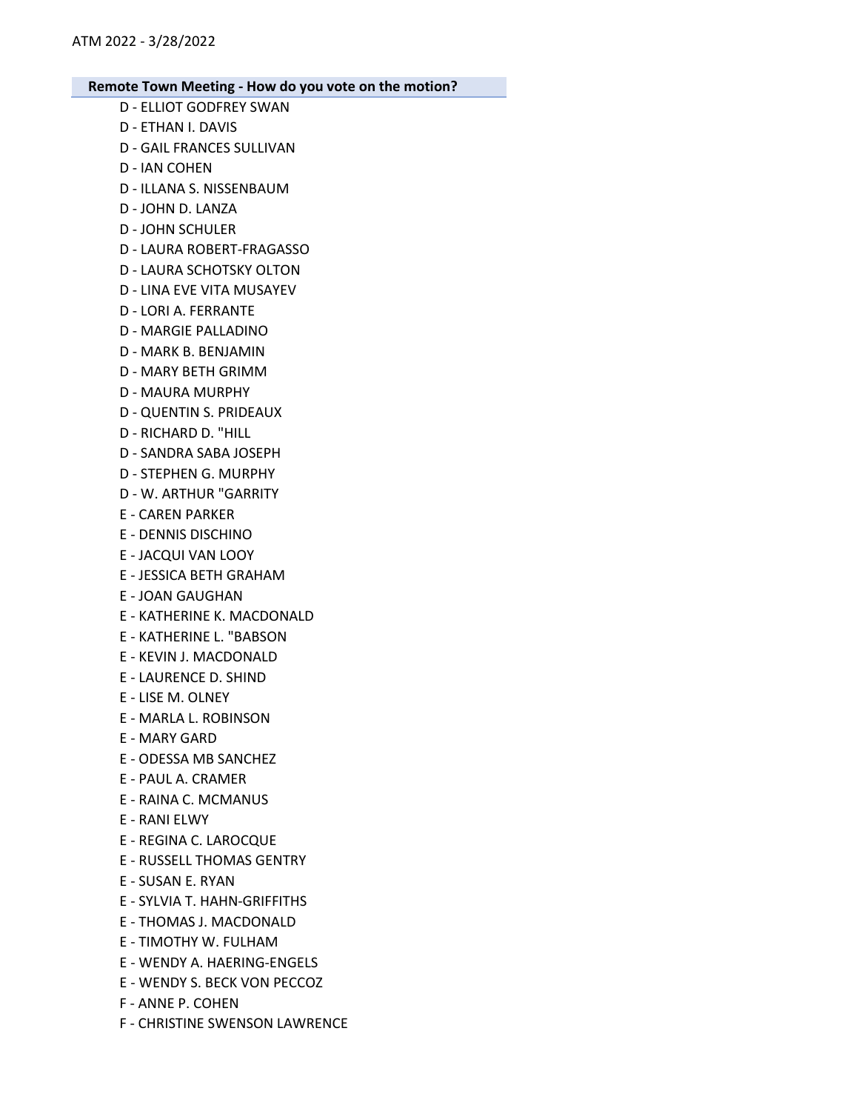- D ELLIOT GODFREY SWAN
- D ETHAN I. DAVIS
- D GAIL FRANCES SULLIVAN
- D IAN COHEN
- D ILLANA S. NISSENBAUM
- D JOHN D. LANZA
- D JOHN SCHULER
- D LAURA ROBERT-FRAGASSO
- D LAURA SCHOTSKY OLTON
- D LINA EVE VITA MUSAYEV
- D LORI A. FERRANTE
- D MARGIE PALLADINO
- D MARK B. BENJAMIN
- D MARY BETH GRIMM
- D MAURA MURPHY
- D QUENTIN S. PRIDEAUX
- D RICHARD D. "HILL
- D SANDRA SABA JOSEPH
- D STEPHEN G. MURPHY
- D W. ARTHUR "GARRITY
- E CAREN PARKER
- E DENNIS DISCHINO
- E JACQUI VAN LOOY
- E JESSICA BETH GRAHAM
- E JOAN GAUGHAN
- E KATHERINE K. MACDONALD
- E KATHERINE L. "BABSON
- E KEVIN J. MACDONALD
- E LAURENCE D. SHIND
- E LISE M. OLNEY
- E MARLA L. ROBINSON
- E MARY GARD
- E ODESSA MB SANCHEZ
- E PAUL A. CRAMER
- E RAINA C. MCMANUS
- E RANI ELWY
- E REGINA C. LAROCQUE
- E RUSSELL THOMAS GENTRY
- E SUSAN E. RYAN
- E SYLVIA T. HAHN-GRIFFITHS
- E THOMAS J. MACDONALD
- E TIMOTHY W. FULHAM
- E WENDY A. HAERING-ENGELS
- E WENDY S. BECK VON PECCOZ
- F ANNE P. COHEN
- F CHRISTINE SWENSON LAWRENCE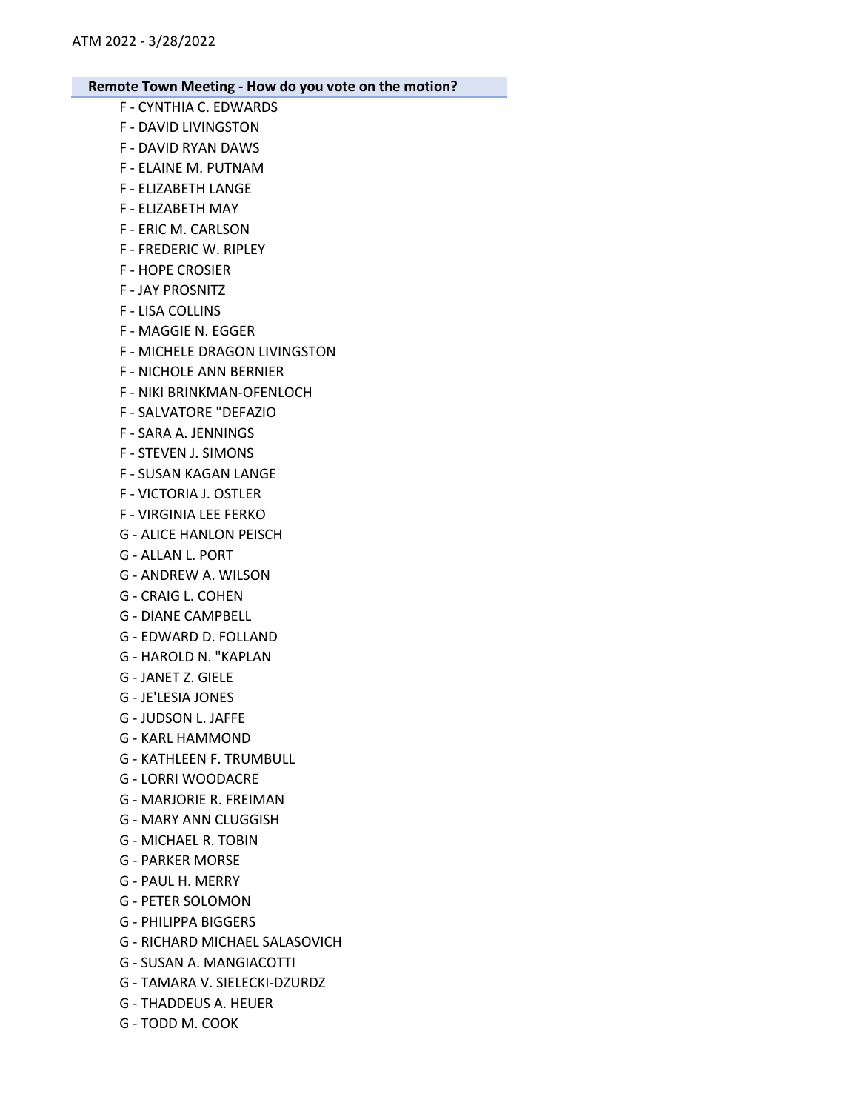- F CYNTHIA C. EDWARDS
- F DAVID LIVINGSTON
- F DAVID RYAN DAWS
- F ELAINE M. PUTNAM
- F ELIZABETH LANGE
- F ELIZABETH MAY
- F ERIC M. CARLSON
- F FREDERIC W. RIPLEY
- F HOPE CROSIER
- F JAY PROSNITZ
- F LISA COLLINS
- F MAGGIE N. EGGER
- F MICHELE DRAGON LIVINGSTON
- F NICHOLE ANN BERNIER
- F NIKI BRINKMAN-OFENLOCH
- F SALVATORE "DEFAZIO
- F SARA A. JENNINGS
- F STEVEN J. SIMONS
- F SUSAN KAGAN LANGE
- F VICTORIA J. OSTLER
- F VIRGINIA LEE FERKO
- G ALICE HANLON PEISCH
- G ALLAN L. PORT
- G ANDREW A. WILSON
- G CRAIG L. COHEN
- G DIANE CAMPBELL
- G EDWARD D. FOLLAND
- G HAROLD N. "KAPLAN
- G JANET Z. GIELE
- G JE'LESIA JONES
- G JUDSON L. JAFFE
- G KARL HAMMOND
- G KATHLEEN F. TRUMBULL
- G LORRI WOODACRE
- G MARJORIE R. FREIMAN
- G MARY ANN CLUGGISH
- G MICHAEL R. TOBIN
- G PARKER MORSE
- G PAUL H. MERRY
- G PETER SOLOMON
- G PHILIPPA BIGGERS
- G RICHARD MICHAEL SALASOVICH
- G SUSAN A. MANGIACOTTI
- G TAMARA V. SIELECKI-DZURDZ
- G THADDEUS A. HEUER
- G TODD M. COOK